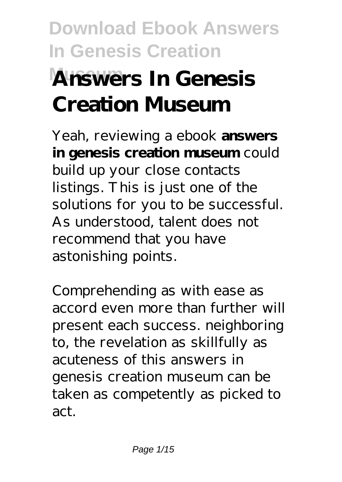# **Download Ebook Answers In Genesis Creation Museum Answers In Genesis Creation Museum**

Yeah, reviewing a ebook **answers in genesis creation museum** could build up your close contacts listings. This is just one of the solutions for you to be successful. As understood, talent does not recommend that you have astonishing points.

Comprehending as with ease as accord even more than further will present each success. neighboring to, the revelation as skillfully as acuteness of this answers in genesis creation museum can be taken as competently as picked to act.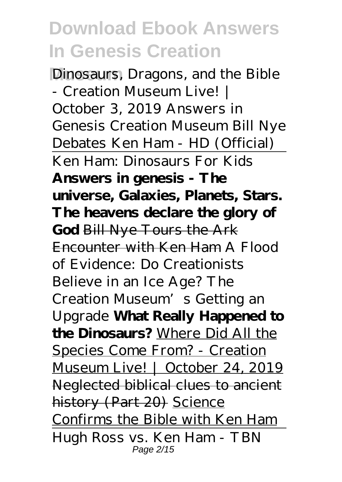Dinosaurs, Dragons, and the Bible - Creation Museum Live! | October 3, 2019 *Answers in Genesis Creation Museum Bill Nye Debates Ken Ham - HD (Official)* Ken Ham: Dinosaurs For Kids **Answers in genesis - The universe, Galaxies, Planets, Stars. The heavens declare the glory of God** Bill Nye Tours the Ark Encounter with Ken Ham *A Flood of Evidence: Do Creationists Believe in an Ice Age? The Creation Museum's Getting an Upgrade* **What Really Happened to the Dinosaurs?** Where Did All the Species Come From? - Creation Museum Live! | October 24, 2019 Neglected biblical clues to ancient history (Part 20) Science Confirms the Bible with Ken Ham Hugh Ross vs. Ken Ham - TBN Page 2/15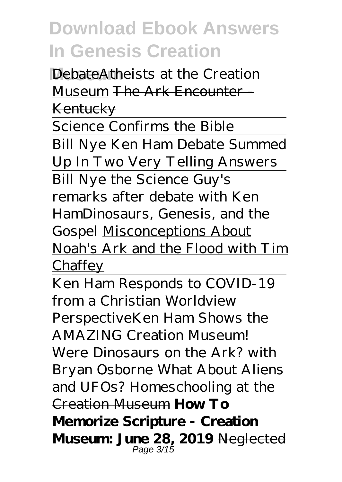DebateAtheists at the Creation Museum The Ark Encounter Kentucky

Science Confirms the Bible Bill Nye Ken Ham Debate Summed Up In Two Very Telling Answers Bill Nye the Science Guy's remarks after debate with Ken Ham*Dinosaurs, Genesis, and the Gospel* Misconceptions About Noah's Ark and the Flood with Tim **Chaffey** 

Ken Ham Responds to COVID-19 from a Christian Worldview Perspective*Ken Ham Shows the AMAZING Creation Museum! Were Dinosaurs on the Ark? with Bryan Osborne What About Aliens and UFOs?* Homeschooling at the Creation Museum **How To Memorize Scripture - Creation Museum: June 28, 2019** Neglected Page 3/15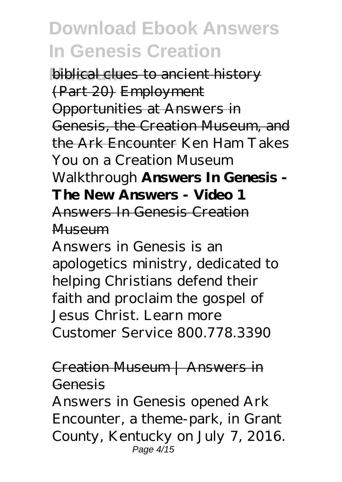**biblical clues to ancient history** (Part 20) Employment Opportunities at Answers in Genesis, the Creation Museum, and the Ark Encounter *Ken Ham Takes You on a Creation Museum Walkthrough* **Answers In Genesis - The New Answers - Video 1** Answers In Genesis Creation Museum

Answers in Genesis is an apologetics ministry, dedicated to helping Christians defend their faith and proclaim the gospel of Jesus Christ. Learn more Customer Service 800.778.3390

### Creation Museum | Answers in Genesis

Answers in Genesis opened Ark Encounter, a theme-park, in Grant County, Kentucky on July 7, 2016. Page  $4/15$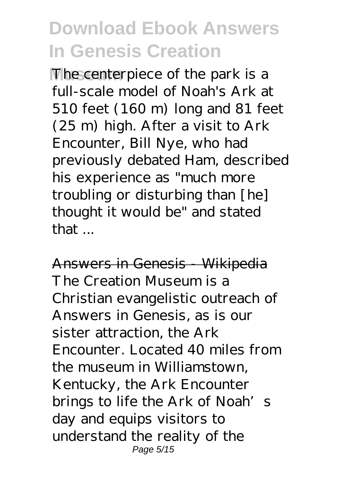**The centerpiece of the park is a** full-scale model of Noah's Ark at 510 feet (160 m) long and 81 feet (25 m) high. After a visit to Ark Encounter, Bill Nye, who had previously debated Ham, described his experience as "much more troubling or disturbing than [he] thought it would be" and stated that ...

Answers in Genesis - Wikipedia The Creation Museum is a Christian evangelistic outreach of Answers in Genesis, as is our sister attraction, the Ark Encounter. Located 40 miles from the museum in Williamstown, Kentucky, the Ark Encounter brings to life the Ark of Noah's day and equips visitors to understand the reality of the Page 5/15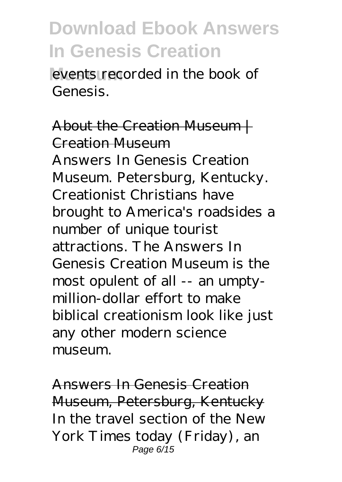events recorded in the book of Genesis.

About the Creation Museum | Creation Museum Answers In Genesis Creation Museum. Petersburg, Kentucky. Creationist Christians have brought to America's roadsides a number of unique tourist attractions. The Answers In Genesis Creation Museum is the most opulent of all -- an umptymillion-dollar effort to make biblical creationism look like just any other modern science museum.

Answers In Genesis Creation Museum, Petersburg, Kentucky In the travel section of the New York Times today (Friday), an Page 6/15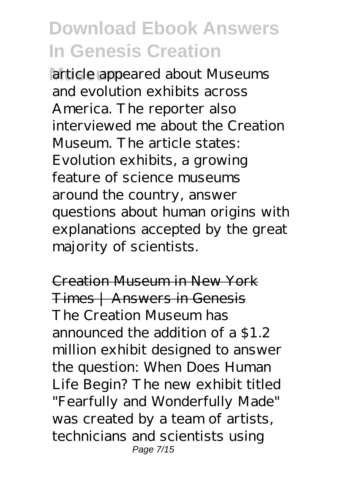**Museum** article appeared about Museums and evolution exhibits across America. The reporter also interviewed me about the Creation Museum. The article states: Evolution exhibits, a growing feature of science museums around the country, answer questions about human origins with explanations accepted by the great majority of scientists.

Creation Museum in New York Times | Answers in Genesis The Creation Museum has announced the addition of a \$1.2 million exhibit designed to answer the question: When Does Human Life Begin? The new exhibit titled "Fearfully and Wonderfully Made" was created by a team of artists, technicians and scientists using Page 7/15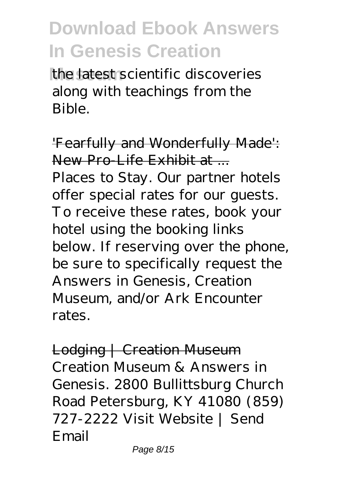**Museum** the latest scientific discoveries along with teachings from the Bible.

'Fearfully and Wonderfully Made': New Pro-Life Exhibit at ...

Places to Stay. Our partner hotels offer special rates for our guests. To receive these rates, book your hotel using the booking links below. If reserving over the phone, be sure to specifically request the Answers in Genesis, Creation Museum, and/or Ark Encounter rates.

Lodging | Creation Museum Creation Museum & Answers in Genesis. 2800 Bullittsburg Church Road Petersburg, KY 41080 (859) 727-2222 Visit Website | Send Email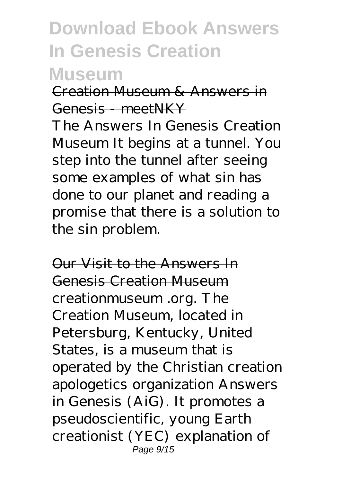### **Museum**

Creation Museum & Answers in Genesis meetNKY

The Answers In Genesis Creation Museum It begins at a tunnel. You step into the tunnel after seeing some examples of what sin has done to our planet and reading a promise that there is a solution to the sin problem.

Our Visit to the Answers In Genesis Creation Museum creationmuseum .org. The Creation Museum, located in Petersburg, Kentucky, United States, is a museum that is operated by the Christian creation apologetics organization Answers in Genesis (AiG). It promotes a pseudoscientific, young Earth creationist (YEC) explanation of Page 9/15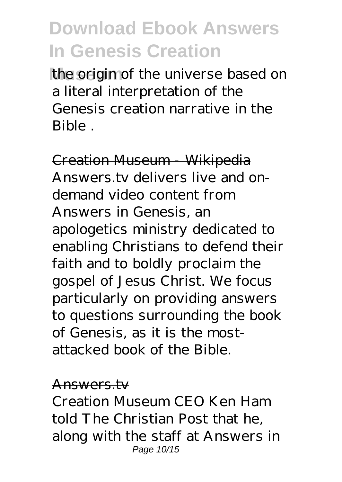the origin of the universe based on a literal interpretation of the Genesis creation narrative in the Bible .

Creation Museum - Wikipedia Answers.tv delivers live and ondemand video content from Answers in Genesis, an apologetics ministry dedicated to enabling Christians to defend their faith and to boldly proclaim the gospel of Jesus Christ. We focus particularly on providing answers to questions surrounding the book of Genesis, as it is the mostattacked book of the Bible.

#### Answers.tv

Creation Museum CEO Ken Ham told The Christian Post that he, along with the staff at Answers in Page 10/15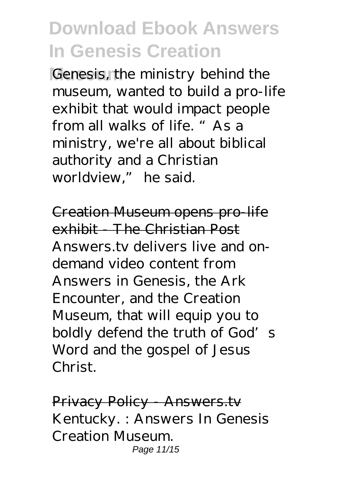Genesis, the ministry behind the museum, wanted to build a pro-life exhibit that would impact people from all walks of life. "As a ministry, we're all about biblical authority and a Christian worldview," he said.

Creation Museum opens pro-life exhibit - The Christian Post Answers.tv delivers live and ondemand video content from Answers in Genesis, the Ark Encounter, and the Creation Museum, that will equip you to boldly defend the truth of God's Word and the gospel of Jesus Christ.

Privacy Policy - Answers.tv Kentucky. : Answers In Genesis Creation Museum. Page 11/15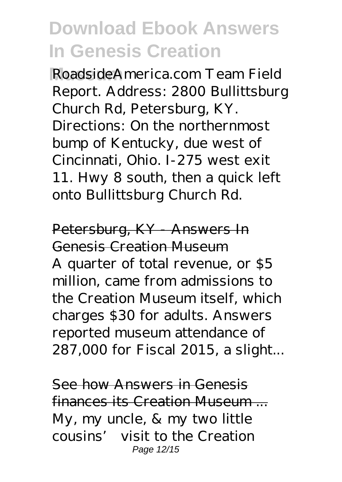**Museum** RoadsideAmerica.com Team Field Report. Address: 2800 Bullittsburg Church Rd, Petersburg, KY. Directions: On the northernmost bump of Kentucky, due west of Cincinnati, Ohio. I-275 west exit 11. Hwy 8 south, then a quick left onto Bullittsburg Church Rd.

Petersburg, KY - Answers In Genesis Creation Museum A quarter of total revenue, or \$5 million, came from admissions to the Creation Museum itself, which charges \$30 for adults. Answers reported museum attendance of 287,000 for Fiscal 2015, a slight...

See how Answers in Genesis finances its Creation Museum ... My, my uncle, & my two little cousins' visit to the Creation Page 12/15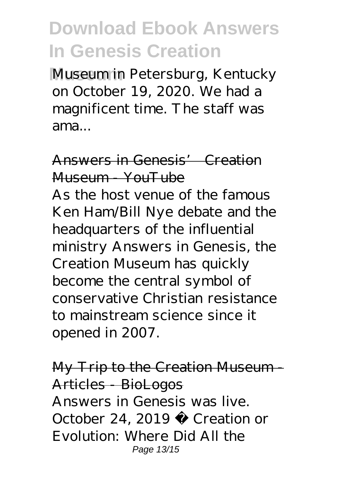**Museum** in Petersburg, Kentucky on October 19, 2020. We had a magnificent time. The staff was ama...

## Answers in Genesis' Creation Museum YouTube

As the host venue of the famous Ken Ham/Bill Nye debate and the headquarters of the influential ministry Answers in Genesis, the Creation Museum has quickly become the central symbol of conservative Christian resistance to mainstream science since it opened in 2007.

My Trip to the Creation Museum - Articles - BioLogos Answers in Genesis was live. October 24, 2019 · Creation or Evolution: Where Did All the Page 13/15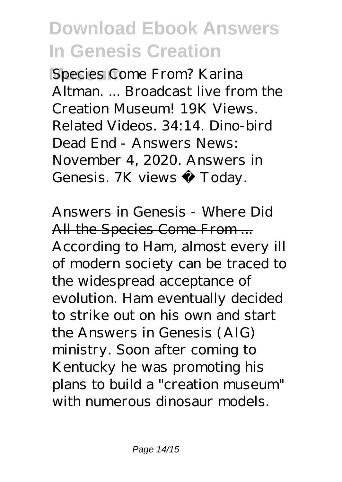**Species Come From? Karina** Altman. ... Broadcast live from the Creation Museum! 19K Views. Related Videos. 34:14. Dino-bird Dead End - Answers News: November 4, 2020. Answers in Genesis. 7K views · Today.

Answers in Genesis - Where Did All the Species Come From ... According to Ham, almost every ill of modern society can be traced to the widespread acceptance of evolution. Ham eventually decided to strike out on his own and start the Answers in Genesis (AIG) ministry. Soon after coming to Kentucky he was promoting his plans to build a "creation museum" with numerous dinosaur models.